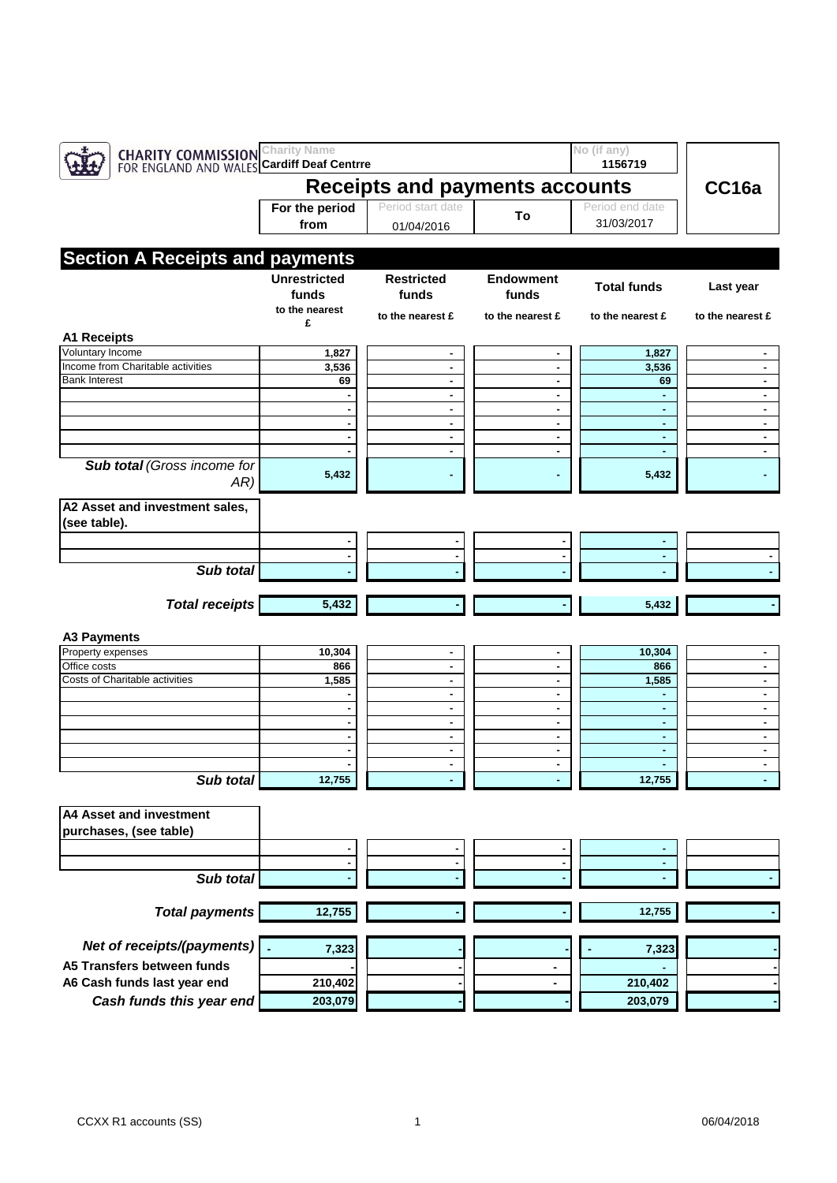| <b>CHARITY COMMISSION</b> Charity Name<br>FOR ENGLAND AND WALES Cardiff Deaf Centrre |                                |                     |                  | No (if any)<br>1156719 |                  |
|--------------------------------------------------------------------------------------|--------------------------------|---------------------|------------------|------------------------|------------------|
|                                                                                      | Receipts and payments accounts | CC16a               |                  |                        |                  |
|                                                                                      | For the period                 | Period start date   |                  | Period end date        |                  |
|                                                                                      | from                           | 01/04/2016          | To               | 31/03/2017             |                  |
|                                                                                      |                                |                     |                  |                        |                  |
| <b>Section A Receipts and payments</b>                                               |                                |                     |                  |                        |                  |
|                                                                                      | <b>Unrestricted</b>            | <b>Restricted</b>   | <b>Endowment</b> | <b>Total funds</b>     |                  |
|                                                                                      | funds                          | funds               | funds            |                        | Last year        |
|                                                                                      | to the nearest                 | to the nearest £    | to the nearest £ | to the nearest £       | to the nearest £ |
|                                                                                      | £                              |                     |                  |                        |                  |
| <b>A1 Receipts</b>                                                                   |                                |                     |                  |                        |                  |
| Voluntary Income<br>Income from Charitable activities                                | 1,827<br>3,536                 |                     | ٠                | 1,827<br>3,536         | ٠                |
| <b>Bank Interest</b>                                                                 | 69                             | ٠<br>$\blacksquare$ | ٠                | 69                     | ٠                |
|                                                                                      |                                | ٠                   |                  |                        |                  |
|                                                                                      |                                | ۰                   | ٠                | ٠                      | ٠                |
|                                                                                      |                                | ٠                   | $\blacksquare$   |                        |                  |
|                                                                                      |                                | ٠                   | ۰                |                        |                  |
|                                                                                      |                                | ٠                   | ٠                | ٠                      | ٠                |
| <b>Sub total (Gross income for</b><br>AR)                                            | 5,432                          |                     |                  | 5,432                  |                  |
| A2 Asset and investment sales,                                                       |                                |                     |                  |                        |                  |
| (see table).                                                                         |                                |                     |                  |                        |                  |
|                                                                                      |                                |                     |                  |                        |                  |
| Sub total                                                                            |                                |                     |                  |                        |                  |
|                                                                                      |                                |                     |                  |                        |                  |
|                                                                                      |                                |                     |                  |                        |                  |
| <b>Total receipts</b>                                                                | 5,432                          |                     |                  | 5,432                  |                  |
| <b>A3 Payments</b>                                                                   |                                |                     |                  |                        |                  |
| Property expenses                                                                    | 10,304                         | ٠                   | ٠                | 10,304                 |                  |
| Office costs                                                                         | 866                            | ٠                   | ۰                | 866                    | ٠                |
| Costs of Charitable activities                                                       | 1,585                          | ٠                   | ٠                | 1,585                  | ٠                |
|                                                                                      |                                | ۰                   | ٠                |                        | ٠                |
|                                                                                      |                                | ٠<br>$\blacksquare$ | ۰<br>٠           | ٠<br>$\blacksquare$    | ٠<br>٠           |
|                                                                                      |                                | ٠                   | ۰                | ٠                      | ٠                |
|                                                                                      |                                | ٠                   | ۰                |                        | ٠                |
|                                                                                      |                                | $\blacksquare$      | $\blacksquare$   | $\blacksquare$         | ٠                |
| Sub total                                                                            | 12,755                         |                     |                  | 12,755                 |                  |
| A4 Asset and investment                                                              |                                |                     |                  |                        |                  |
| purchases, (see table)                                                               |                                |                     |                  |                        |                  |
|                                                                                      |                                |                     |                  |                        |                  |
|                                                                                      |                                |                     | ٠                |                        |                  |
|                                                                                      |                                |                     |                  |                        |                  |
| Sub total                                                                            |                                |                     |                  |                        |                  |
| <b>Total payments</b>                                                                | 12,755                         |                     |                  | 12,755                 |                  |
| Net of receipts/(payments)                                                           | 7,323                          |                     |                  | 7,323                  |                  |
| A5 Transfers between funds                                                           |                                |                     |                  |                        |                  |
| A6 Cash funds last year end                                                          | 210,402                        |                     |                  | 210,402                |                  |
| Cash funds this year end                                                             | 203,079                        |                     |                  | 203,079                |                  |
|                                                                                      |                                |                     |                  |                        |                  |